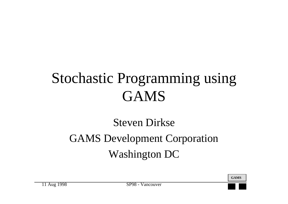## Stochastic Programming using GAMS

#### Steven DirkseGAMS Development Corporation Washington DC

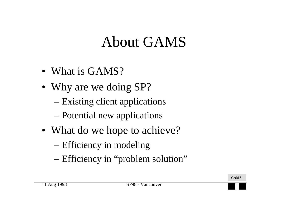## About GAMS

- What is GAMS?
- Why are we doing SP?
	- –Existing client applications
	- –Potential new applications
- What do we hope to achieve?
	- –Efficiency in modeling
	- –Efficiency in "problem solution"

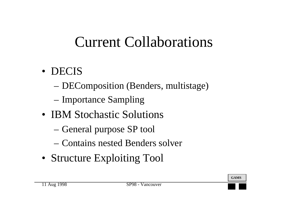## Current Collaborations

- DECIS
	- –DEComposition (Benders, multistage)
	- –Importance Sampling
- IBM Stochastic Solutions
	- –General purpose SP tool
	- Contains nested Benders solver
- Structure Exploiting Tool

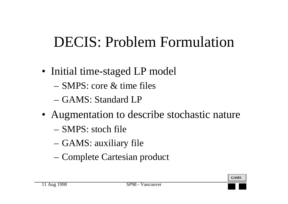## DECIS: Problem Formulation

- Initial time-staged LP model
	- SMPS: core & time files
	- GAMS: Standard LP
- Augmentation to describe stochastic nature
	- SMPS: stoch file
	- –GAMS: auxiliary file
	- –Complete Cartesian product

**GAMS**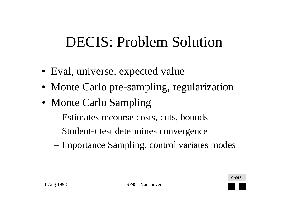## DECIS: Problem Solution

- Eval, universe, expected value
- Monte Carlo pre-sampling, regularization
- Monte Carlo Sampling
	- –Estimates recourse costs, cuts, bounds
	- Student-*<sup>t</sup>* test determines convergence
	- Importance Sampling, control variates modes

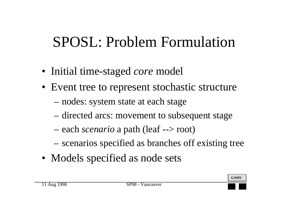## SPOSL: Problem Formulation

- Initial time-staged *core* model
- Event tree to represent stochastic structure
	- –nodes: system state at each stage
	- –directed arcs: movement to subsequent stage
	- –each *scenario* a path (leaf --> root)
	- –scenarios specified as branches off existing tree
- Models specified as node sets

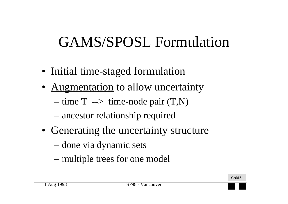## GAMS/SPOSL Formulation

- Initial <u>time-staged</u> formulation
- Augmentation to allow uncertainty
	- –time  $T \rightarrow$  time-node pair  $(T,N)$
	- –ancestor relationship required
- Generating the uncertainty structure
	- –done via dynamic sets
	- –multiple trees for one model

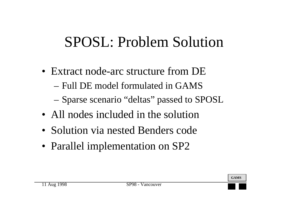## SPOSL: Problem Solution

- Extract node-arc structure from DE
	- Full DE model formulated in GAMS
	- –Sparse scenario "deltas" passed to SPOSL
- All nodes included in the solution
- Solution via nested Benders code
- Parallel implementation on SP2



**GAMS**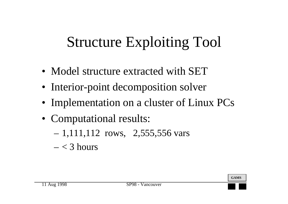# Structure Exploiting Tool

- Model structure extracted with SET
- Interior-point decomposition solver
- Implementation on a cluster of Linux PCs
- Computational results:
	- –1,111,112 rows, 2,555,556 vars
	- < 3 hours

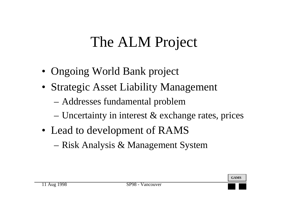## The ALM Project

- Ongoing World Bank project
- Strategic Asset Liability Management
	- –Addresses fundamental problem
	- –Uncertainty in interest & exchange rates, prices
- Lead to development of RAMS
	- –Risk Analysis & Management System

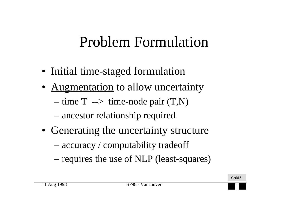## Problem Formulation

- Initial <u>time-staged</u> formulation
- Augmentation to allow uncertainty
	- –time  $T \rightarrow$  time-node pair  $(T,N)$
	- –ancestor relationship required
- Generating the uncertainty structure
	- –accuracy / computability tradeoff
	- –requires the use of NLP (least-squares)

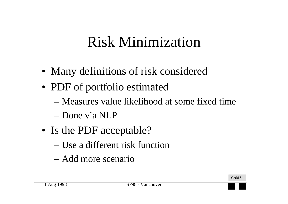### Risk Minimization

- Many definitions of risk considered
- PDF of portfolio estimated
	- Measures value likelihood at some fixed time
	- Done via NLP
- Is the PDF acceptable?
	- Use a different risk function
	- Add more scenario

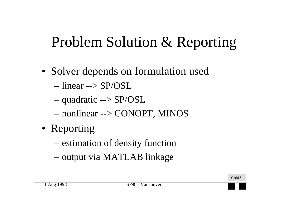## Problem Solution & Reporting

- Solver depends on formulation used
	- linear --> SP/OSL
	- –quadratic --> SP/OSL
	- –nonlinear --> CONOPT, MINOS
- Reporting
	- –estimation of density function
	- –output via MATLAB linkage

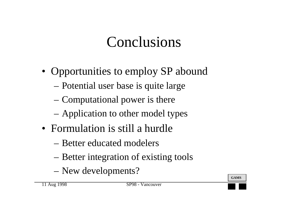## Conclusions

- Opportunities to employ SP abound
	- –Potential user base is quite large
	- –Computational power is there
	- –Application to other model types
- Formulation is still a hurdle
	- Better educated modelers
	- –Better integration of existing tools
	- –New developments?



**GAMS**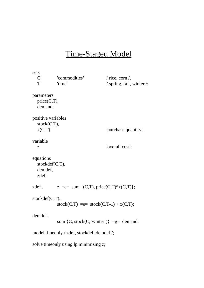#### Time-Staged Model

```
sets
  C 'commodities' / rice, corn /,
  T 'time' / spring, fall, winter /;
parameters
   price(C,T),
   demand;
positive variables
   stock(C,T),
 x(C,T) 'purchase quantity';
variable
  z 'overall cost';
equations
   stockdef(C,T),
   demdef,
   zdef;
zdef.. z = e= sum \{(C,T), price(C,T)^*x(C,T)\};stockdef(C,T)..
          stock(C,T) = e = stock(C,T-1) + x(C,T);
demdef..
          sum \{C, stock(C, 'winter')\} =g= demand;
model timeonly / zdef, stockdef, demdef /;
solve timeonly using lp minimizing z;
```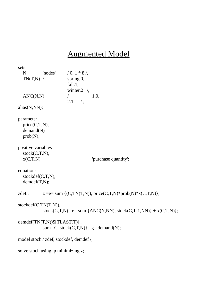#### Augmented Model

sets N 'nodes'  $/ 0, 1 * 8 /$  $TN(T,N)$  / spring.0, fall.1, winter.2 /,  $\text{ANC}(N,N)$  / 1.0,  $2.1 /$ ; alias(N,NN); parameter price(C,T,N), demand(N) prob(N); positive variables stock(C,T,N),  $x(C,T,N)$  'purchase quantity'; equations stockdef(C,T,N), demdef(T,N); zdef..  $z = e= sum \{(C, TN(T,N)), price(C,T,N)*prob(N)*x(C,T,N) \};$ stockdef(C,TN(T,N)).. stock(C,T,N) = e = sum {ANC(N,NN), stock(C,T-1,NN)} +  $x(C,T,N)$ }; demdef(TN(T,N))\$[TLAST(T)].. sum  $\{C, stock(C,T,N)\} = g= demand(N);$ model stoch / zdef, stockdef, demdef /; solve stoch using lp minimizing z;